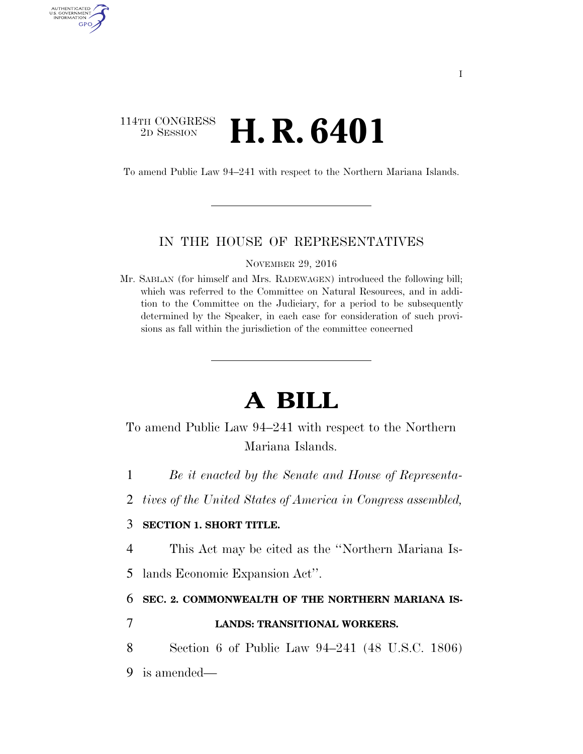## 114TH CONGRESS <sup>2D SESSION</sup> **H. R. 6401**

AUTHENTICATED<br>U.S. GOVERNMENT<br>INFORMATION GPO

To amend Public Law 94–241 with respect to the Northern Mariana Islands.

### IN THE HOUSE OF REPRESENTATIVES

NOVEMBER 29, 2016

Mr. SABLAN (for himself and Mrs. RADEWAGEN) introduced the following bill; which was referred to the Committee on Natural Resources, and in addition to the Committee on the Judiciary, for a period to be subsequently determined by the Speaker, in each case for consideration of such provisions as fall within the jurisdiction of the committee concerned

# **A BILL**

## To amend Public Law 94–241 with respect to the Northern Mariana Islands.

- 1 *Be it enacted by the Senate and House of Representa-*
- 2 *tives of the United States of America in Congress assembled,*

### 3 **SECTION 1. SHORT TITLE.**

- 4 This Act may be cited as the ''Northern Mariana Is-
- 5 lands Economic Expansion Act''.

#### 6 **SEC. 2. COMMONWEALTH OF THE NORTHERN MARIANA IS-**

## 7 **LANDS: TRANSITIONAL WORKERS.**

8 Section 6 of Public Law 94–241 (48 U.S.C. 1806)

9 is amended—